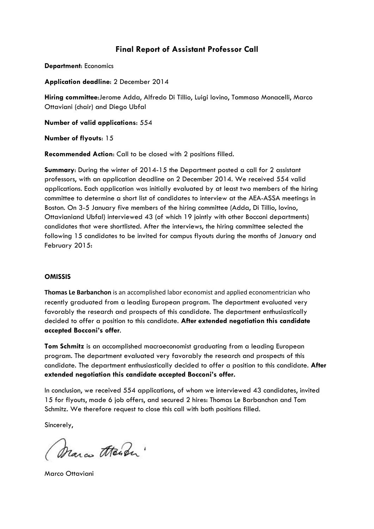## **Final Report of Assistant Professor Call**

**Department**: Economics

**Application deadline**: 2 December 2014

**Hiring committee**:Jerome Adda, Alfredo Di Tillio, Luigi Iovino, Tommaso Monacelli, Marco Ottaviani (chair) and Diego Ubfal

**Number of valid applications**: 554

**Number of flyouts**: 15

**Recommended Action**: Call to be closed with 2 positions filled.

**Summary**: During the winter of 2014-15 the Department posted a call for 2 assistant professors, with an application deadline on 2 December 2014. We received 554 valid applications. Each application was initially evaluated by at least two members of the hiring committee to determine a short list of candidates to interview at the AEA-ASSA meetings in Boston. On 3-5 January five members of the hiring committee (Adda, Di Tillio, Iovino, Ottavianiand Ubfal) interviewed 43 (of which 19 jointly with other Bocconi departments) candidates that were shortlisted. After the interviews, the hiring committee selected the following 15 candidates to be invited for campus flyouts during the months of January and February 2015:

## **OMISSIS**

**Thomas Le Barbanchon** is an accomplished labor economist and applied economentrician who recently graduated from a leading European program. The department evaluated very favorably the research and prospects of this candidate. The department enthusiastically decided to offer a position to this candidate. **After extended negotiation this candidate accepted Bocconi's offer**.

**Tom Schmitz** is an accomplished macroeconomist graduating from a leading European program. The department evaluated very favorably the research and prospects of this candidate. The department enthusiastically decided to offer a position to this candidate. **After extended negotiation this candidate accepted Bocconi's offer.**

In conclusion, we received 554 applications, of whom we interviewed 43 candidates, invited 15 for flyouts, made 6 job offers, and secured 2 hires: Thomas Le Barbanchon and Tom Schmitz. We therefore request to close this call with both positions filled.

Sincerely,

Marco theader"

Marco Ottaviani